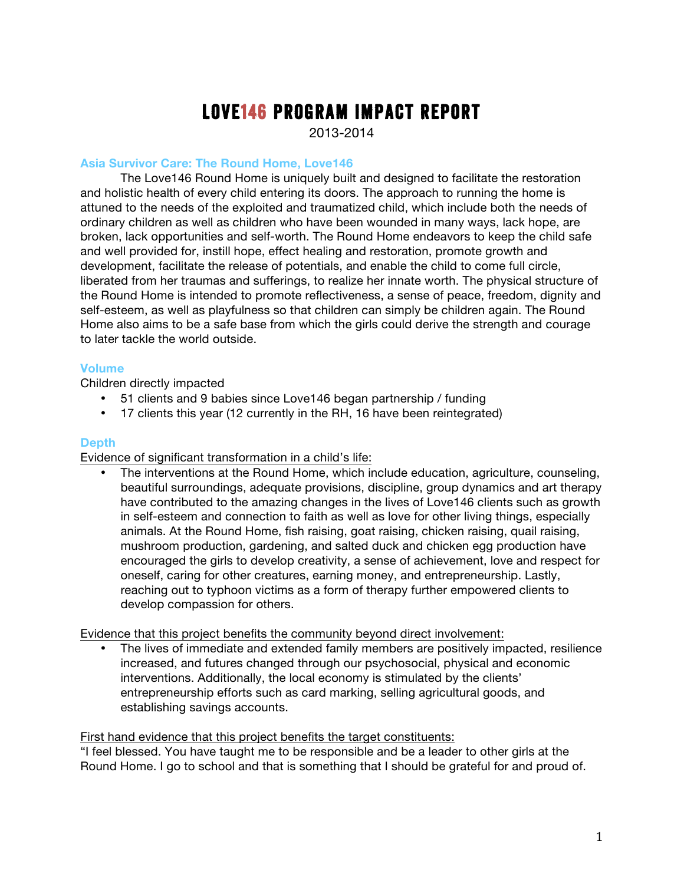# Love146 Program Impact Report

2013-2014

## **Asia Survivor Care: The Round Home, Love146**

The Love146 Round Home is uniquely built and designed to facilitate the restoration and holistic health of every child entering its doors. The approach to running the home is attuned to the needs of the exploited and traumatized child, which include both the needs of ordinary children as well as children who have been wounded in many ways, lack hope, are broken, lack opportunities and self-worth. The Round Home endeavors to keep the child safe and well provided for, instill hope, effect healing and restoration, promote growth and development, facilitate the release of potentials, and enable the child to come full circle, liberated from her traumas and sufferings, to realize her innate worth. The physical structure of the Round Home is intended to promote reflectiveness, a sense of peace, freedom, dignity and self-esteem, as well as playfulness so that children can simply be children again. The Round Home also aims to be a safe base from which the girls could derive the strength and courage to later tackle the world outside.

## **Volume**

Children directly impacted

- 51 clients and 9 babies since Love146 began partnership / funding
- 17 clients this year (12 currently in the RH, 16 have been reintegrated)

## **Depth**

Evidence of significant transformation in a child's life:

• The interventions at the Round Home, which include education, agriculture, counseling, beautiful surroundings, adequate provisions, discipline, group dynamics and art therapy have contributed to the amazing changes in the lives of Love146 clients such as growth in self-esteem and connection to faith as well as love for other living things, especially animals. At the Round Home, fish raising, goat raising, chicken raising, quail raising, mushroom production, gardening, and salted duck and chicken egg production have encouraged the girls to develop creativity, a sense of achievement, love and respect for oneself, caring for other creatures, earning money, and entrepreneurship. Lastly, reaching out to typhoon victims as a form of therapy further empowered clients to develop compassion for others.

Evidence that this project benefits the community beyond direct involvement:

• The lives of immediate and extended family members are positively impacted, resilience increased, and futures changed through our psychosocial, physical and economic interventions. Additionally, the local economy is stimulated by the clients' entrepreneurship efforts such as card marking, selling agricultural goods, and establishing savings accounts.

### First hand evidence that this project benefits the target constituents:

"I feel blessed. You have taught me to be responsible and be a leader to other girls at the Round Home. I go to school and that is something that I should be grateful for and proud of.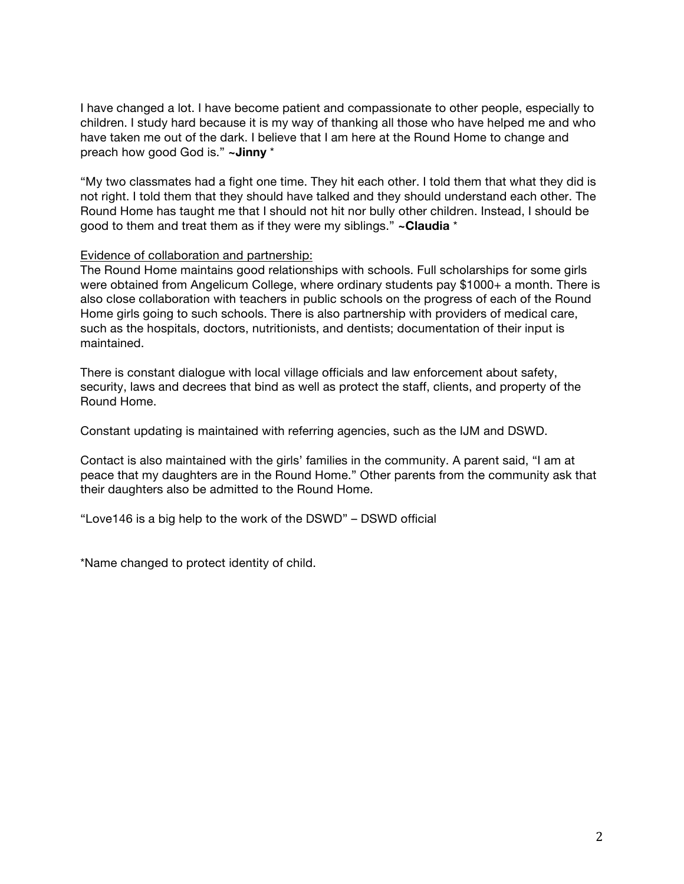I have changed a lot. I have become patient and compassionate to other people, especially to children. I study hard because it is my way of thanking all those who have helped me and who have taken me out of the dark. I believe that I am here at the Round Home to change and preach how good God is." **~Jinny** \*

"My two classmates had a fight one time. They hit each other. I told them that what they did is not right. I told them that they should have talked and they should understand each other. The Round Home has taught me that I should not hit nor bully other children. Instead, I should be good to them and treat them as if they were my siblings." **~Claudia** \*

## Evidence of collaboration and partnership:

The Round Home maintains good relationships with schools. Full scholarships for some girls were obtained from Angelicum College, where ordinary students pay \$1000+ a month. There is also close collaboration with teachers in public schools on the progress of each of the Round Home girls going to such schools. There is also partnership with providers of medical care, such as the hospitals, doctors, nutritionists, and dentists; documentation of their input is maintained.

There is constant dialogue with local village officials and law enforcement about safety, security, laws and decrees that bind as well as protect the staff, clients, and property of the Round Home.

Constant updating is maintained with referring agencies, such as the IJM and DSWD.

Contact is also maintained with the girls' families in the community. A parent said, "I am at peace that my daughters are in the Round Home." Other parents from the community ask that their daughters also be admitted to the Round Home.

"Love146 is a big help to the work of the DSWD" – DSWD official

\*Name changed to protect identity of child.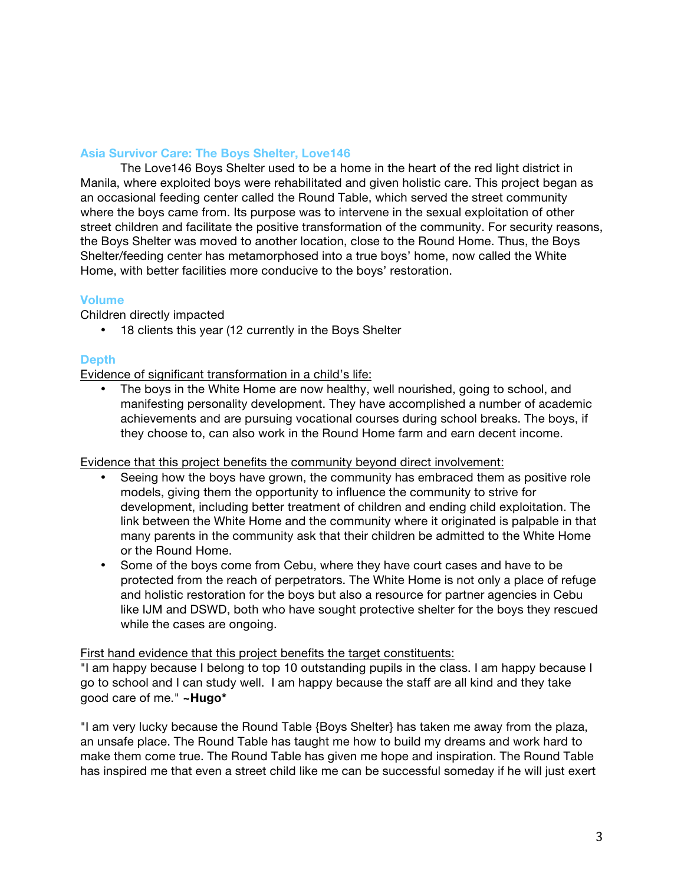## **Asia Survivor Care: The Boys Shelter, Love146**

The Love146 Boys Shelter used to be a home in the heart of the red light district in Manila, where exploited boys were rehabilitated and given holistic care. This project began as an occasional feeding center called the Round Table, which served the street community where the boys came from. Its purpose was to intervene in the sexual exploitation of other street children and facilitate the positive transformation of the community. For security reasons, the Boys Shelter was moved to another location, close to the Round Home. Thus, the Boys Shelter/feeding center has metamorphosed into a true boys' home, now called the White Home, with better facilities more conducive to the boys' restoration.

## **Volume**

Children directly impacted

• 18 clients this year (12 currently in the Boys Shelter

## **Depth**

Evidence of significant transformation in a child's life:

The boys in the White Home are now healthy, well nourished, going to school, and manifesting personality development. They have accomplished a number of academic achievements and are pursuing vocational courses during school breaks. The boys, if they choose to, can also work in the Round Home farm and earn decent income.

### Evidence that this project benefits the community beyond direct involvement:

- Seeing how the boys have grown, the community has embraced them as positive role models, giving them the opportunity to influence the community to strive for development, including better treatment of children and ending child exploitation. The link between the White Home and the community where it originated is palpable in that many parents in the community ask that their children be admitted to the White Home or the Round Home.
- Some of the boys come from Cebu, where they have court cases and have to be protected from the reach of perpetrators. The White Home is not only a place of refuge and holistic restoration for the boys but also a resource for partner agencies in Cebu like IJM and DSWD, both who have sought protective shelter for the boys they rescued while the cases are ongoing.

### First hand evidence that this project benefits the target constituents:

"I am happy because I belong to top 10 outstanding pupils in the class. I am happy because I go to school and I can study well. I am happy because the staff are all kind and they take good care of me." **~Hugo\***

"I am very lucky because the Round Table {Boys Shelter} has taken me away from the plaza, an unsafe place. The Round Table has taught me how to build my dreams and work hard to make them come true. The Round Table has given me hope and inspiration. The Round Table has inspired me that even a street child like me can be successful someday if he will just exert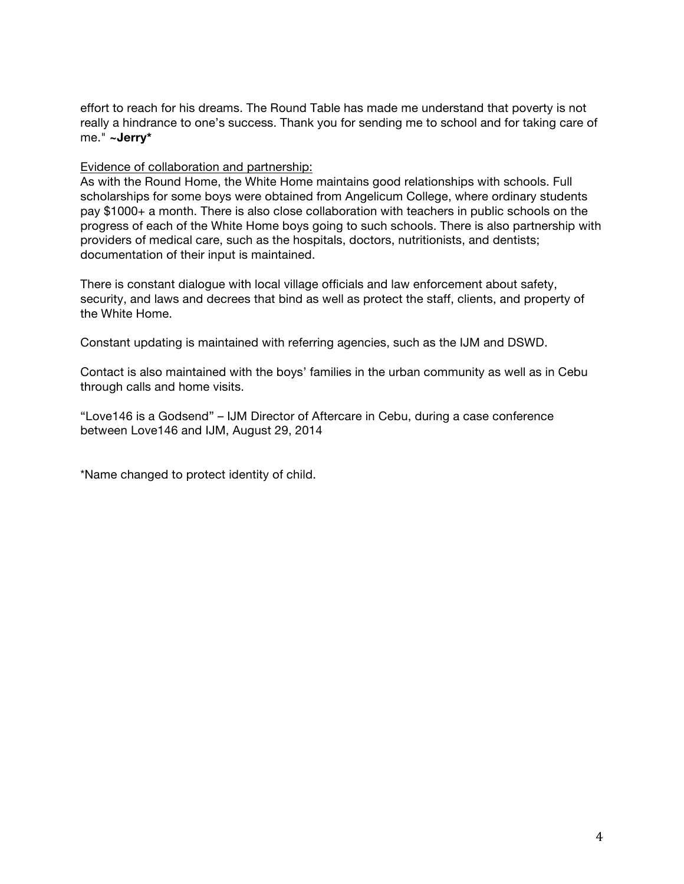effort to reach for his dreams. The Round Table has made me understand that poverty is not really a hindrance to one's success. Thank you for sending me to school and for taking care of me." **~Jerry\***

#### Evidence of collaboration and partnership:

As with the Round Home, the White Home maintains good relationships with schools. Full scholarships for some boys were obtained from Angelicum College, where ordinary students pay \$1000+ a month. There is also close collaboration with teachers in public schools on the progress of each of the White Home boys going to such schools. There is also partnership with providers of medical care, such as the hospitals, doctors, nutritionists, and dentists; documentation of their input is maintained.

There is constant dialogue with local village officials and law enforcement about safety, security, and laws and decrees that bind as well as protect the staff, clients, and property of the White Home.

Constant updating is maintained with referring agencies, such as the IJM and DSWD.

Contact is also maintained with the boys' families in the urban community as well as in Cebu through calls and home visits.

"Love146 is a Godsend" – IJM Director of Aftercare in Cebu, during a case conference between Love146 and IJM, August 29, 2014

\*Name changed to protect identity of child.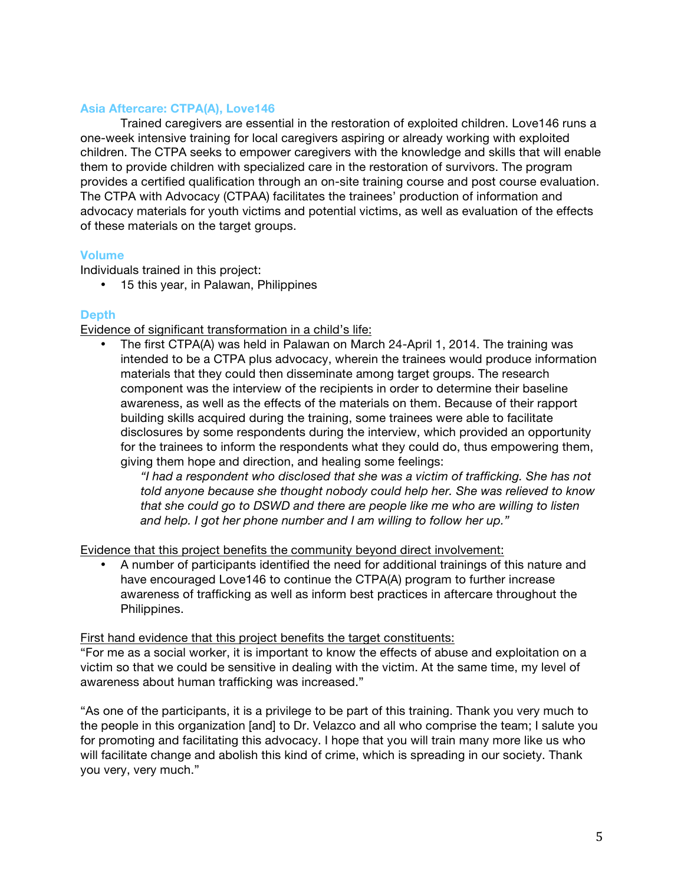## **Asia Aftercare: CTPA(A), Love146**

Trained caregivers are essential in the restoration of exploited children. Love146 runs a one-week intensive training for local caregivers aspiring or already working with exploited children. The CTPA seeks to empower caregivers with the knowledge and skills that will enable them to provide children with specialized care in the restoration of survivors. The program provides a certified qualification through an on-site training course and post course evaluation. The CTPA with Advocacy (CTPAA) facilitates the trainees' production of information and advocacy materials for youth victims and potential victims, as well as evaluation of the effects of these materials on the target groups.

## **Volume**

Individuals trained in this project:

• 15 this year, in Palawan, Philippines

## **Depth**

Evidence of significant transformation in a child's life:

• The first CTPA(A) was held in Palawan on March 24-April 1, 2014. The training was intended to be a CTPA plus advocacy, wherein the trainees would produce information materials that they could then disseminate among target groups. The research component was the interview of the recipients in order to determine their baseline awareness, as well as the effects of the materials on them. Because of their rapport building skills acquired during the training, some trainees were able to facilitate disclosures by some respondents during the interview, which provided an opportunity for the trainees to inform the respondents what they could do, thus empowering them, giving them hope and direction, and healing some feelings:

*"I had a respondent who disclosed that she was a victim of trafficking. She has not told anyone because she thought nobody could help her. She was relieved to know that she could go to DSWD and there are people like me who are willing to listen and help. I got her phone number and I am willing to follow her up."*

Evidence that this project benefits the community beyond direct involvement:

• A number of participants identified the need for additional trainings of this nature and have encouraged Love146 to continue the CTPA(A) program to further increase awareness of trafficking as well as inform best practices in aftercare throughout the Philippines.

### First hand evidence that this project benefits the target constituents:

"For me as a social worker, it is important to know the effects of abuse and exploitation on a victim so that we could be sensitive in dealing with the victim. At the same time, my level of awareness about human trafficking was increased."

"As one of the participants, it is a privilege to be part of this training. Thank you very much to the people in this organization [and] to Dr. Velazco and all who comprise the team; I salute you for promoting and facilitating this advocacy. I hope that you will train many more like us who will facilitate change and abolish this kind of crime, which is spreading in our society. Thank you very, very much."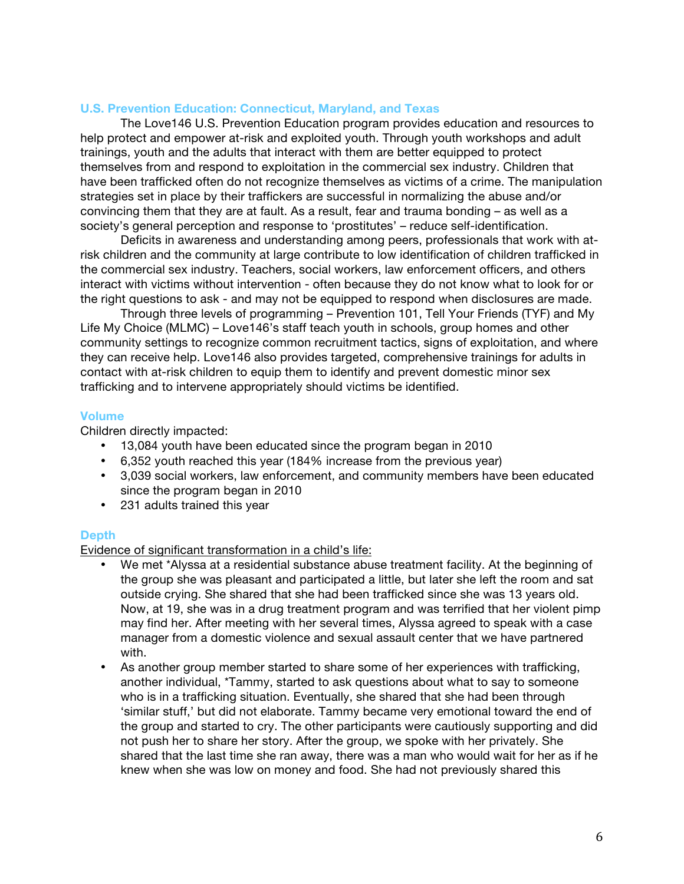### **U.S. Prevention Education: Connecticut, Maryland, and Texas**

The Love146 U.S. Prevention Education program provides education and resources to help protect and empower at-risk and exploited youth. Through youth workshops and adult trainings, youth and the adults that interact with them are better equipped to protect themselves from and respond to exploitation in the commercial sex industry. Children that have been trafficked often do not recognize themselves as victims of a crime. The manipulation strategies set in place by their traffickers are successful in normalizing the abuse and/or convincing them that they are at fault. As a result, fear and trauma bonding – as well as a society's general perception and response to 'prostitutes' – reduce self-identification.

Deficits in awareness and understanding among peers, professionals that work with atrisk children and the community at large contribute to low identification of children trafficked in the commercial sex industry. Teachers, social workers, law enforcement officers, and others interact with victims without intervention - often because they do not know what to look for or the right questions to ask - and may not be equipped to respond when disclosures are made.

Through three levels of programming – Prevention 101, Tell Your Friends (TYF) and My Life My Choice (MLMC) – Love146's staff teach youth in schools, group homes and other community settings to recognize common recruitment tactics, signs of exploitation, and where they can receive help. Love146 also provides targeted, comprehensive trainings for adults in contact with at-risk children to equip them to identify and prevent domestic minor sex trafficking and to intervene appropriately should victims be identified.

#### **Volume**

Children directly impacted:

- 13,084 youth have been educated since the program began in 2010
- 6,352 youth reached this year (184% increase from the previous year)
- 3,039 social workers, law enforcement, and community members have been educated since the program began in 2010
- 231 adults trained this year

### **Depth**

Evidence of significant transformation in a child's life:

- We met \*Alyssa at a residential substance abuse treatment facility. At the beginning of the group she was pleasant and participated a little, but later she left the room and sat outside crying. She shared that she had been trafficked since she was 13 years old. Now, at 19, she was in a drug treatment program and was terrified that her violent pimp may find her. After meeting with her several times, Alyssa agreed to speak with a case manager from a domestic violence and sexual assault center that we have partnered with.
- As another group member started to share some of her experiences with trafficking, another individual, \*Tammy, started to ask questions about what to say to someone who is in a trafficking situation. Eventually, she shared that she had been through 'similar stuff,' but did not elaborate. Tammy became very emotional toward the end of the group and started to cry. The other participants were cautiously supporting and did not push her to share her story. After the group, we spoke with her privately. She shared that the last time she ran away, there was a man who would wait for her as if he knew when she was low on money and food. She had not previously shared this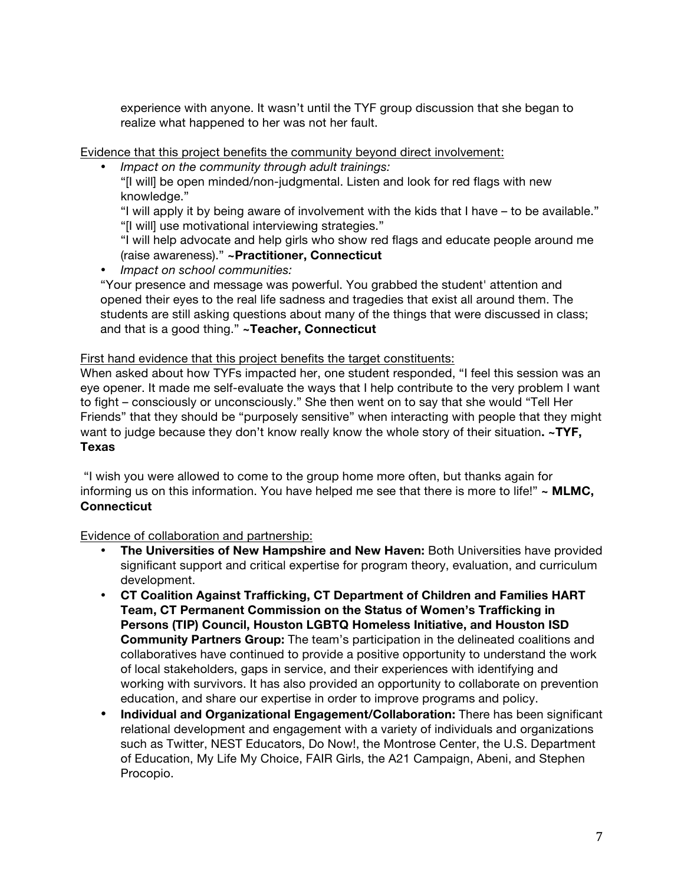experience with anyone. It wasn't until the TYF group discussion that she began to realize what happened to her was not her fault.

Evidence that this project benefits the community beyond direct involvement:

• *Impact on the community through adult trainings:*

"[I will] be open minded/non-judgmental. Listen and look for red flags with new knowledge."

"I will apply it by being aware of involvement with the kids that I have – to be available." "[I will] use motivational interviewing strategies."

"I will help advocate and help girls who show red flags and educate people around me (raise awareness)." **~Practitioner, Connecticut**

• *Impact on school communities:* 

"Your presence and message was powerful. You grabbed the student' attention and opened their eyes to the real life sadness and tragedies that exist all around them. The students are still asking questions about many of the things that were discussed in class; and that is a good thing." **~Teacher, Connecticut**

## First hand evidence that this project benefits the target constituents:

When asked about how TYFs impacted her, one student responded, "I feel this session was an eye opener. It made me self-evaluate the ways that I help contribute to the very problem I want to fight – consciously or unconsciously." She then went on to say that she would "Tell Her Friends" that they should be "purposely sensitive" when interacting with people that they might want to judge because they don't know really know the whole story of their situation**. ~TYF, Texas**

"I wish you were allowed to come to the group home more often, but thanks again for informing us on this information. You have helped me see that there is more to life!" **~ MLMC, Connecticut** 

Evidence of collaboration and partnership:

- **The Universities of New Hampshire and New Haven:** Both Universities have provided significant support and critical expertise for program theory, evaluation, and curriculum development.
- **CT Coalition Against Trafficking, CT Department of Children and Families HART Team, CT Permanent Commission on the Status of Women's Trafficking in Persons (TIP) Council, Houston LGBTQ Homeless Initiative, and Houston ISD Community Partners Group:** The team's participation in the delineated coalitions and collaboratives have continued to provide a positive opportunity to understand the work of local stakeholders, gaps in service, and their experiences with identifying and working with survivors. It has also provided an opportunity to collaborate on prevention education, and share our expertise in order to improve programs and policy.
- **Individual and Organizational Engagement/Collaboration:** There has been significant relational development and engagement with a variety of individuals and organizations such as Twitter, NEST Educators, Do Now!, the Montrose Center, the U.S. Department of Education, My Life My Choice, FAIR Girls, the A21 Campaign, Abeni, and Stephen Procopio.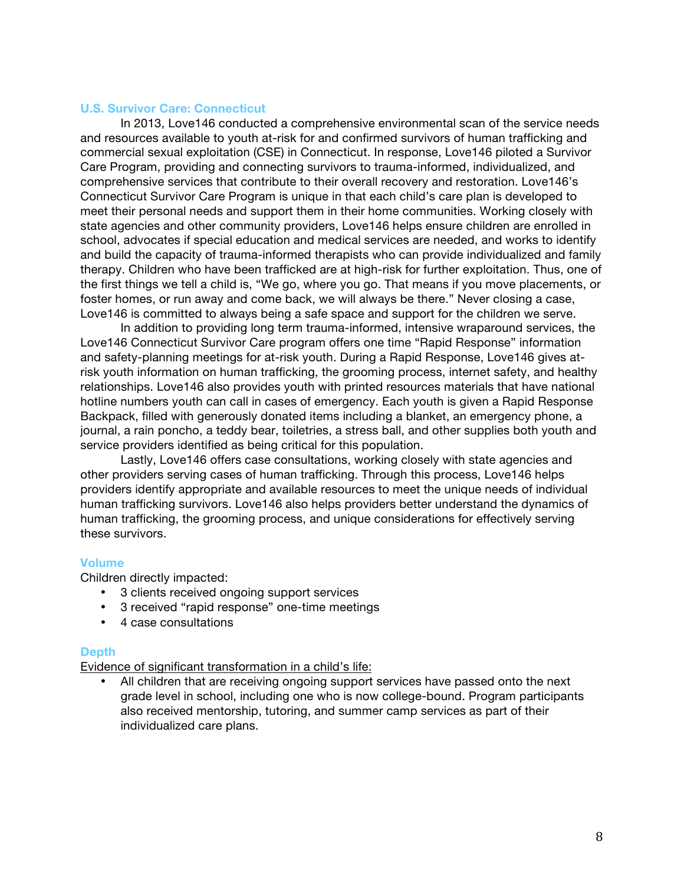#### **U.S. Survivor Care: Connecticut**

In 2013, Love146 conducted a comprehensive environmental scan of the service needs and resources available to youth at-risk for and confirmed survivors of human trafficking and commercial sexual exploitation (CSE) in Connecticut. In response, Love146 piloted a Survivor Care Program, providing and connecting survivors to trauma-informed, individualized, and comprehensive services that contribute to their overall recovery and restoration. Love146's Connecticut Survivor Care Program is unique in that each child's care plan is developed to meet their personal needs and support them in their home communities. Working closely with state agencies and other community providers, Love146 helps ensure children are enrolled in school, advocates if special education and medical services are needed, and works to identify and build the capacity of trauma-informed therapists who can provide individualized and family therapy. Children who have been trafficked are at high-risk for further exploitation. Thus, one of the first things we tell a child is, "We go, where you go. That means if you move placements, or foster homes, or run away and come back, we will always be there." Never closing a case, Love146 is committed to always being a safe space and support for the children we serve.

In addition to providing long term trauma-informed, intensive wraparound services, the Love146 Connecticut Survivor Care program offers one time "Rapid Response" information and safety-planning meetings for at-risk youth. During a Rapid Response, Love146 gives atrisk youth information on human trafficking, the grooming process, internet safety, and healthy relationships. Love146 also provides youth with printed resources materials that have national hotline numbers youth can call in cases of emergency. Each youth is given a Rapid Response Backpack, filled with generously donated items including a blanket, an emergency phone, a journal, a rain poncho, a teddy bear, toiletries, a stress ball, and other supplies both youth and service providers identified as being critical for this population.

Lastly, Love146 offers case consultations, working closely with state agencies and other providers serving cases of human trafficking. Through this process, Love146 helps providers identify appropriate and available resources to meet the unique needs of individual human trafficking survivors. Love146 also helps providers better understand the dynamics of human trafficking, the grooming process, and unique considerations for effectively serving these survivors.

### **Volume**

Children directly impacted:

- 3 clients received ongoing support services
- 3 received "rapid response" one-time meetings
- 4 case consultations

#### **Depth**

Evidence of significant transformation in a child's life:

• All children that are receiving ongoing support services have passed onto the next grade level in school, including one who is now college-bound. Program participants also received mentorship, tutoring, and summer camp services as part of their individualized care plans.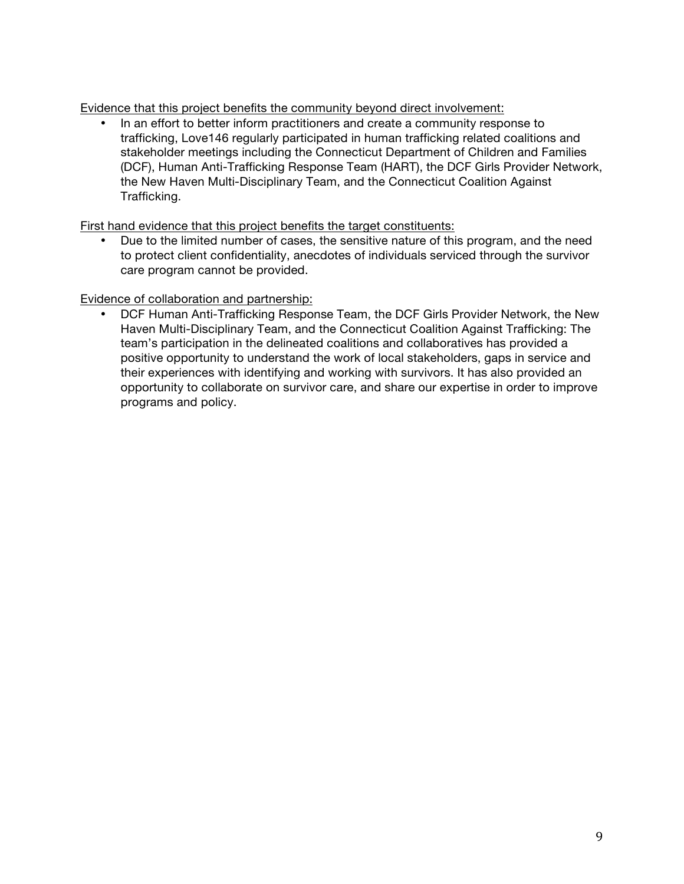Evidence that this project benefits the community beyond direct involvement:

• In an effort to better inform practitioners and create a community response to trafficking, Love146 regularly participated in human trafficking related coalitions and stakeholder meetings including the Connecticut Department of Children and Families (DCF), Human Anti-Trafficking Response Team (HART), the DCF Girls Provider Network, the New Haven Multi-Disciplinary Team, and the Connecticut Coalition Against Trafficking.

First hand evidence that this project benefits the target constituents:

• Due to the limited number of cases, the sensitive nature of this program, and the need to protect client confidentiality, anecdotes of individuals serviced through the survivor care program cannot be provided.

Evidence of collaboration and partnership:

• DCF Human Anti-Trafficking Response Team, the DCF Girls Provider Network, the New Haven Multi-Disciplinary Team, and the Connecticut Coalition Against Trafficking: The team's participation in the delineated coalitions and collaboratives has provided a positive opportunity to understand the work of local stakeholders, gaps in service and their experiences with identifying and working with survivors. It has also provided an opportunity to collaborate on survivor care, and share our expertise in order to improve programs and policy.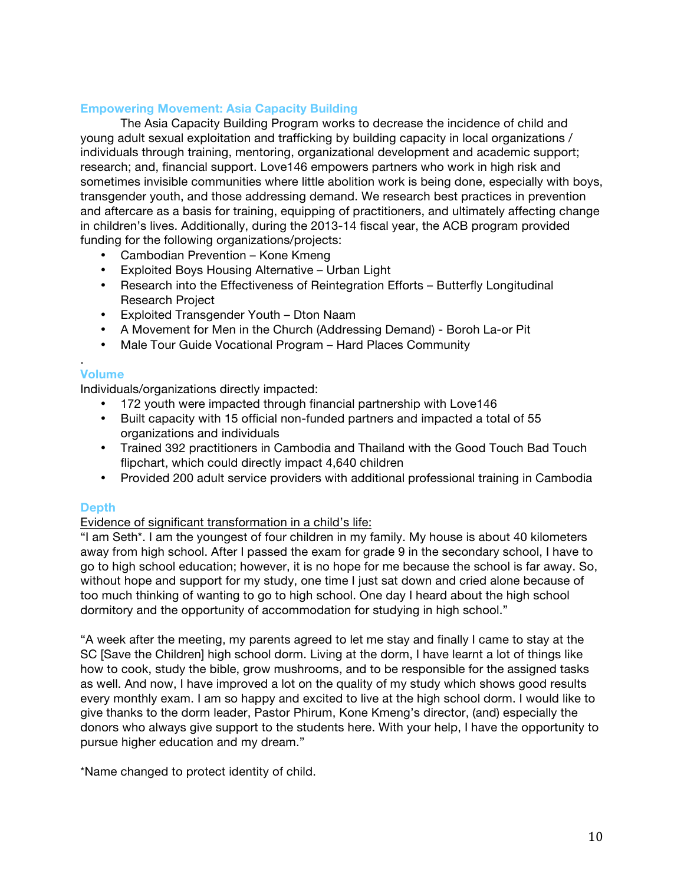## **Empowering Movement: Asia Capacity Building**

The Asia Capacity Building Program works to decrease the incidence of child and young adult sexual exploitation and trafficking by building capacity in local organizations / individuals through training, mentoring, organizational development and academic support; research; and, financial support. Love146 empowers partners who work in high risk and sometimes invisible communities where little abolition work is being done, especially with boys, transgender youth, and those addressing demand. We research best practices in prevention and aftercare as a basis for training, equipping of practitioners, and ultimately affecting change in children's lives. Additionally, during the 2013-14 fiscal year, the ACB program provided funding for the following organizations/projects:

- Cambodian Prevention Kone Kmeng
- Exploited Boys Housing Alternative Urban Light
- Research into the Effectiveness of Reintegration Efforts Butterfly Longitudinal Research Project
- Exploited Transgender Youth Dton Naam
- A Movement for Men in the Church (Addressing Demand) Boroh La-or Pit
- Male Tour Guide Vocational Program Hard Places Community

## **Volume**

.

Individuals/organizations directly impacted:

- 172 youth were impacted through financial partnership with Love146
- Built capacity with 15 official non-funded partners and impacted a total of 55 organizations and individuals
- Trained 392 practitioners in Cambodia and Thailand with the Good Touch Bad Touch flipchart, which could directly impact 4,640 children
- Provided 200 adult service providers with additional professional training in Cambodia

### **Depth**

## Evidence of significant transformation in a child's life:

"I am Seth\*. I am the youngest of four children in my family. My house is about 40 kilometers away from high school. After I passed the exam for grade 9 in the secondary school, I have to go to high school education; however, it is no hope for me because the school is far away. So, without hope and support for my study, one time I just sat down and cried alone because of too much thinking of wanting to go to high school. One day I heard about the high school dormitory and the opportunity of accommodation for studying in high school."

"A week after the meeting, my parents agreed to let me stay and finally I came to stay at the SC [Save the Children] high school dorm. Living at the dorm, I have learnt a lot of things like how to cook, study the bible, grow mushrooms, and to be responsible for the assigned tasks as well. And now, I have improved a lot on the quality of my study which shows good results every monthly exam. I am so happy and excited to live at the high school dorm. I would like to give thanks to the dorm leader, Pastor Phirum, Kone Kmeng's director, (and) especially the donors who always give support to the students here. With your help, I have the opportunity to pursue higher education and my dream."

\*Name changed to protect identity of child.